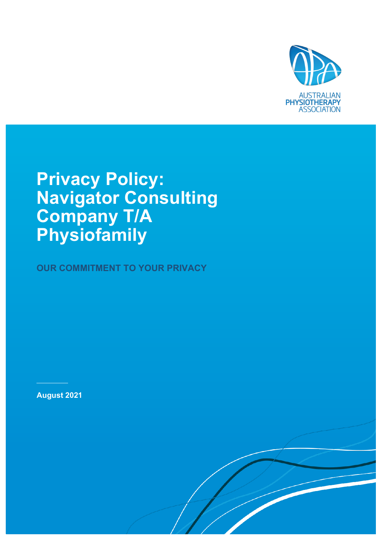

# **Privacy Policy: Navigator Consulting Company T/A Physiofamily**

**OUR COMMITMENT TO YOUR PRIVACY**

**August 2021**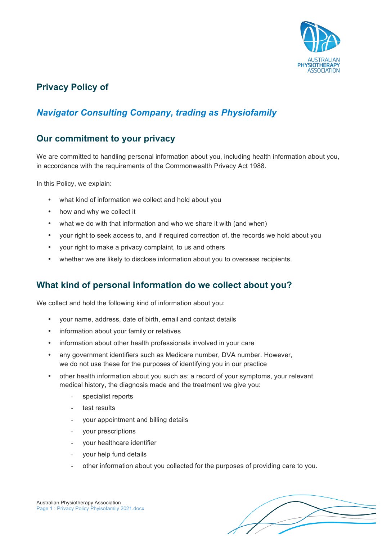

# **Privacy Policy of**

# *Navigator Consulting Company, trading as Physiofamily*

#### **Our commitment to your privacy**

We are committed to handling personal information about you, including health information about you, in accordance with the requirements of the Commonwealth Privacy Act 1988.

In this Policy, we explain:

- what kind of information we collect and hold about you
- how and why we collect it
- what we do with that information and who we share it with (and when)
- your right to seek access to, and if required correction of, the records we hold about you
- your right to make a privacy complaint, to us and others
- whether we are likely to disclose information about you to overseas recipients.

### **What kind of personal information do we collect about you?**

We collect and hold the following kind of information about you:

- your name, address, date of birth, email and contact details
- information about your family or relatives
- information about other health professionals involved in your care
- any government identifiers such as Medicare number, DVA number. However, we do not use these for the purposes of identifying you in our practice
- other health information about you such as: a record of your symptoms, your relevant medical history, the diagnosis made and the treatment we give you:
	- specialist reports
	- test results
	- your appointment and billing details
	- your prescriptions
	- your healthcare identifier
	- your help fund details
	- other information about you collected for the purposes of providing care to you.



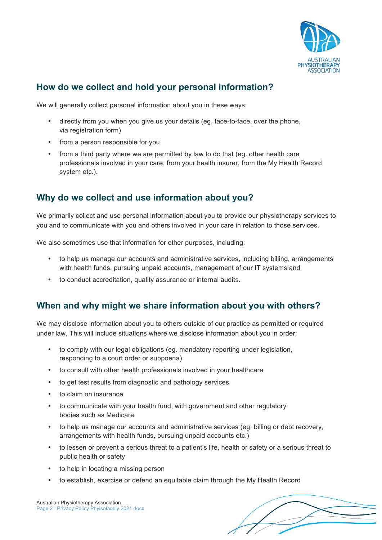

# **How do we collect and hold your personal information?**

We will generally collect personal information about you in these ways:

- directly from you when you give us your details (eg, face-to-face, over the phone, via registration form)
- from a person responsible for you
- from a third party where we are permitted by law to do that (eg. other health care professionals involved in your care, from your health insurer, from the My Health Record system etc.).

### **Why do we collect and use information about you?**

We primarily collect and use personal information about you to provide our physiotherapy services to you and to communicate with you and others involved in your care in relation to those services.

We also sometimes use that information for other purposes, including:

- to help us manage our accounts and administrative services, including billing, arrangements with health funds, pursuing unpaid accounts, management of our IT systems and
- to conduct accreditation, quality assurance or internal audits.

### **When and why might we share information about you with others?**

We may disclose information about you to others outside of our practice as permitted or required under law. This will include situations where we disclose information about you in order:

- to comply with our legal obligations (eg. mandatory reporting under legislation, responding to a court order or subpoena)
- to consult with other health professionals involved in your healthcare
- to get test results from diagnostic and pathology services
- to claim on insurance
- to communicate with your health fund, with government and other regulatory bodies such as Medicare
- to help us manage our accounts and administrative services (eg. billing or debt recovery, arrangements with health funds, pursuing unpaid accounts etc.)
- to lessen or prevent a serious threat to a patient's life, health or safety or a serious threat to public health or safety
- to help in locating a missing person
- to establish, exercise or defend an equitable claim through the My Health Record

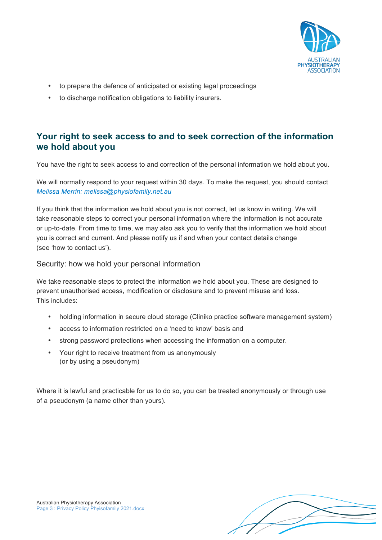

- to prepare the defence of anticipated or existing legal proceedings
- to discharge notification obligations to liability insurers.

#### **Your right to seek access to and to seek correction of the information we hold about you**

You have the right to seek access to and correction of the personal information we hold about you.

We will normally respond to your request within 30 days. To make the request, you should contact *Melissa Merrin: melissa@physiofamily.net.au*

If you think that the information we hold about you is not correct, let us know in writing. We will take reasonable steps to correct your personal information where the information is not accurate or up-to-date. From time to time, we may also ask you to verify that the information we hold about you is correct and current. And please notify us if and when your contact details change (see 'how to contact us').

#### Security: how we hold your personal information

We take reasonable steps to protect the information we hold about you. These are designed to prevent unauthorised access, modification or disclosure and to prevent misuse and loss. This includes:

- holding information in secure cloud storage (Cliniko practice software management system)
- access to information restricted on a 'need to know' basis and
- strong password protections when accessing the information on a computer.
- Your right to receive treatment from us anonymously (or by using a pseudonym)

Where it is lawful and practicable for us to do so, you can be treated anonymously or through use of a pseudonym (a name other than yours).